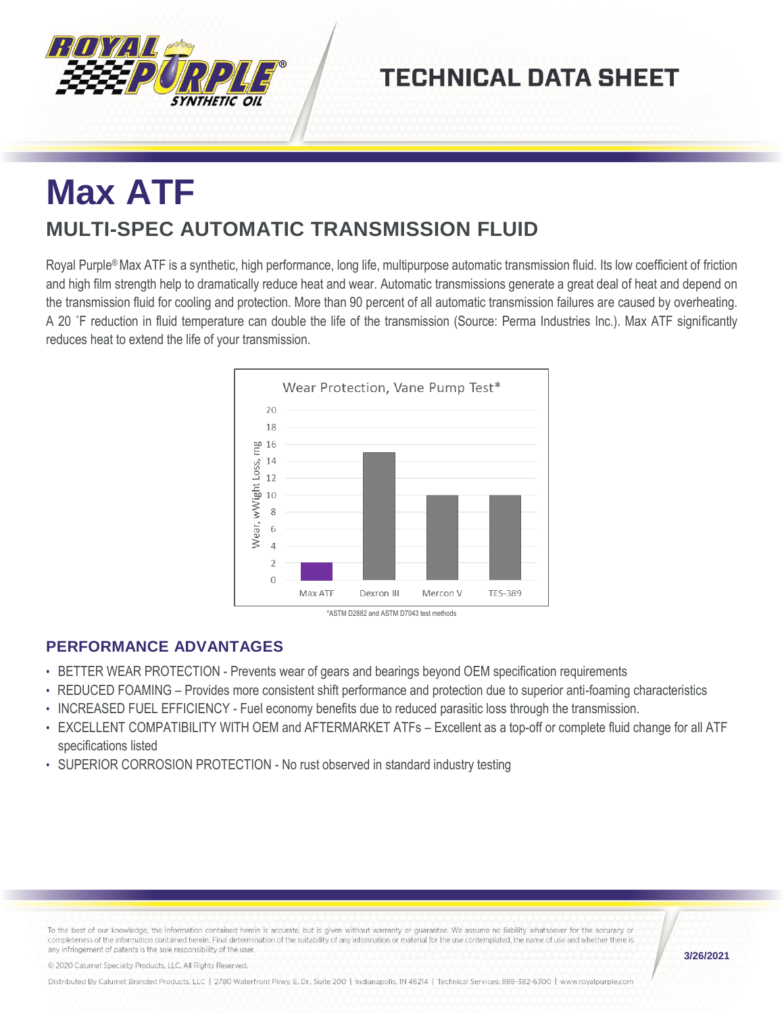

## **TECHNICAL DATA SHEET**

# **Max ATF MULTI-SPEC AUTOMATIC TRANSMISSION FLUID**

Royal Purple® Max ATF is a synthetic, high performance, long life, multipurpose automatic transmission fluid. Its low coefficient of friction and high film strength help to dramatically reduce heat and wear. Automatic transmissions generate a great deal of heat and depend on the transmission fluid for cooling and protection. More than 90 percent of all automatic transmission failures are caused by overheating. A 20 ˚F reduction in fluid temperature can double the life of the transmission (Source: Perma Industries Inc.). Max ATF significantly reduces heat to extend the life of your transmission.



### **PERFORMANCE ADVANTAGES**

- BETTER WEAR PROTECTION Prevents wear of gears and bearings beyond OEM specification requirements
- REDUCED FOAMING Provides more consistent shift performance and protection due to superior anti-foaming characteristics
- INCREASED FUEL EFFICIENCY Fuel economy benefits due to reduced parasitic loss through the transmission.
- EXCELLENT COMPATIBILITY WITH OEM and AFTERMARKET ATFs Excellent as a top-off or complete fluid change for all ATF specifications listed
- SUPERIOR CORROSION PROTECTION No rust observed in standard industry testing

To the best of our knowledge, the information contained herein is accurate, but is given without warranty or guarantee. We assume no liability whatsoever for the accuracy or completeness of the information contained herein. Final determination of the suitability of any information or material for the use contemplated, the name of use and whether there is any infringement of patents is the sole responsibility of the user

**3/26/2021**

© 2020 Calumet Specialty Products, LLC, All Rights Reserved